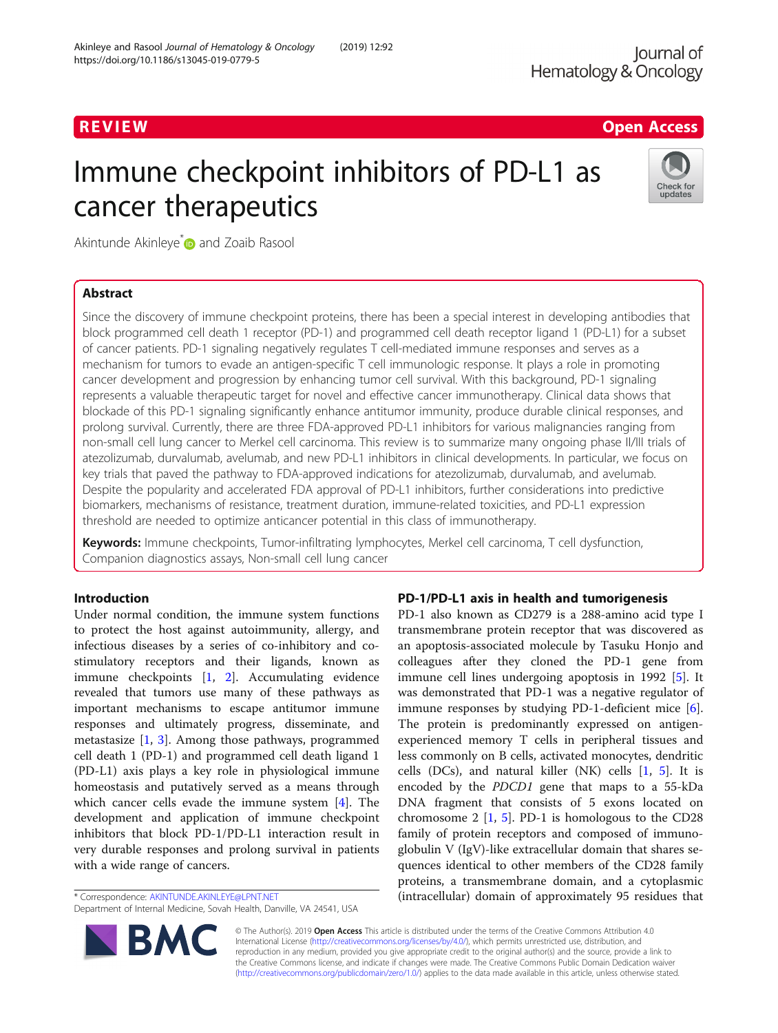# R EVI EW Open Access

# Immune checkpoint inhibitors of PD-L1 as cancer therapeutics



Akintunde Akinleye<sup>\*</sup> and Zoaib Rasool

# Abstract

Since the discovery of immune checkpoint proteins, there has been a special interest in developing antibodies that block programmed cell death 1 receptor (PD-1) and programmed cell death receptor ligand 1 (PD-L1) for a subset of cancer patients. PD-1 signaling negatively regulates T cell-mediated immune responses and serves as a mechanism for tumors to evade an antigen-specific T cell immunologic response. It plays a role in promoting cancer development and progression by enhancing tumor cell survival. With this background, PD-1 signaling represents a valuable therapeutic target for novel and effective cancer immunotherapy. Clinical data shows that blockade of this PD-1 signaling significantly enhance antitumor immunity, produce durable clinical responses, and prolong survival. Currently, there are three FDA-approved PD-L1 inhibitors for various malignancies ranging from non-small cell lung cancer to Merkel cell carcinoma. This review is to summarize many ongoing phase II/III trials of atezolizumab, durvalumab, avelumab, and new PD-L1 inhibitors in clinical developments. In particular, we focus on key trials that paved the pathway to FDA-approved indications for atezolizumab, durvalumab, and avelumab. Despite the popularity and accelerated FDA approval of PD-L1 inhibitors, further considerations into predictive biomarkers, mechanisms of resistance, treatment duration, immune-related toxicities, and PD-L1 expression threshold are needed to optimize anticancer potential in this class of immunotherapy.

Keywords: Immune checkpoints, Tumor-infiltrating lymphocytes, Merkel cell carcinoma, T cell dysfunction, Companion diagnostics assays, Non-small cell lung cancer

# Introduction

Under normal condition, the immune system functions to protect the host against autoimmunity, allergy, and infectious diseases by a series of co-inhibitory and costimulatory receptors and their ligands, known as immune checkpoints [[1,](#page-10-0) [2](#page-10-0)]. Accumulating evidence revealed that tumors use many of these pathways as important mechanisms to escape antitumor immune responses and ultimately progress, disseminate, and metastasize [\[1](#page-10-0), [3\]](#page-10-0). Among those pathways, programmed cell death 1 (PD-1) and programmed cell death ligand 1 (PD-L1) axis plays a key role in physiological immune homeostasis and putatively served as a means through which cancer cells evade the immune system [\[4](#page-10-0)]. The development and application of immune checkpoint inhibitors that block PD-1/PD-L1 interaction result in very durable responses and prolong survival in patients with a wide range of cancers.

\* Correspondence: [AKINTUNDE.AKINLEYE@LPNT.NET](mailto:AKINTUNDE.AKINLEYE@LPNT.NET)

Department of Internal Medicine, Sovah Health, Danville, VA 24541, USA



# PD-1/PD-L1 axis in health and tumorigenesis

PD-1 also known as CD279 is a 288-amino acid type I transmembrane protein receptor that was discovered as an apoptosis-associated molecule by Tasuku Honjo and colleagues after they cloned the PD-1 gene from immune cell lines undergoing apoptosis in 1992 [[5](#page-10-0)]. It was demonstrated that PD-1 was a negative regulator of immune responses by studying PD-1-deficient mice [\[6](#page-10-0)]. The protein is predominantly expressed on antigenexperienced memory T cells in peripheral tissues and less commonly on B cells, activated monocytes, dendritic cells (DCs), and natural killer (NK) cells [\[1](#page-10-0), [5\]](#page-10-0). It is encoded by the PDCD1 gene that maps to a 55-kDa DNA fragment that consists of 5 exons located on chromosome  $2$  [\[1](#page-10-0), [5\]](#page-10-0). PD-1 is homologous to the CD28 family of protein receptors and composed of immunoglobulin V (IgV)-like extracellular domain that shares sequences identical to other members of the CD28 family proteins, a transmembrane domain, and a cytoplasmic (intracellular) domain of approximately 95 residues that

© The Author(s). 2019 Open Access This article is distributed under the terms of the Creative Commons Attribution 4.0 International License [\(http://creativecommons.org/licenses/by/4.0/](http://creativecommons.org/licenses/by/4.0/)), which permits unrestricted use, distribution, and reproduction in any medium, provided you give appropriate credit to the original author(s) and the source, provide a link to the Creative Commons license, and indicate if changes were made. The Creative Commons Public Domain Dedication waiver [\(http://creativecommons.org/publicdomain/zero/1.0/](http://creativecommons.org/publicdomain/zero/1.0/)) applies to the data made available in this article, unless otherwise stated.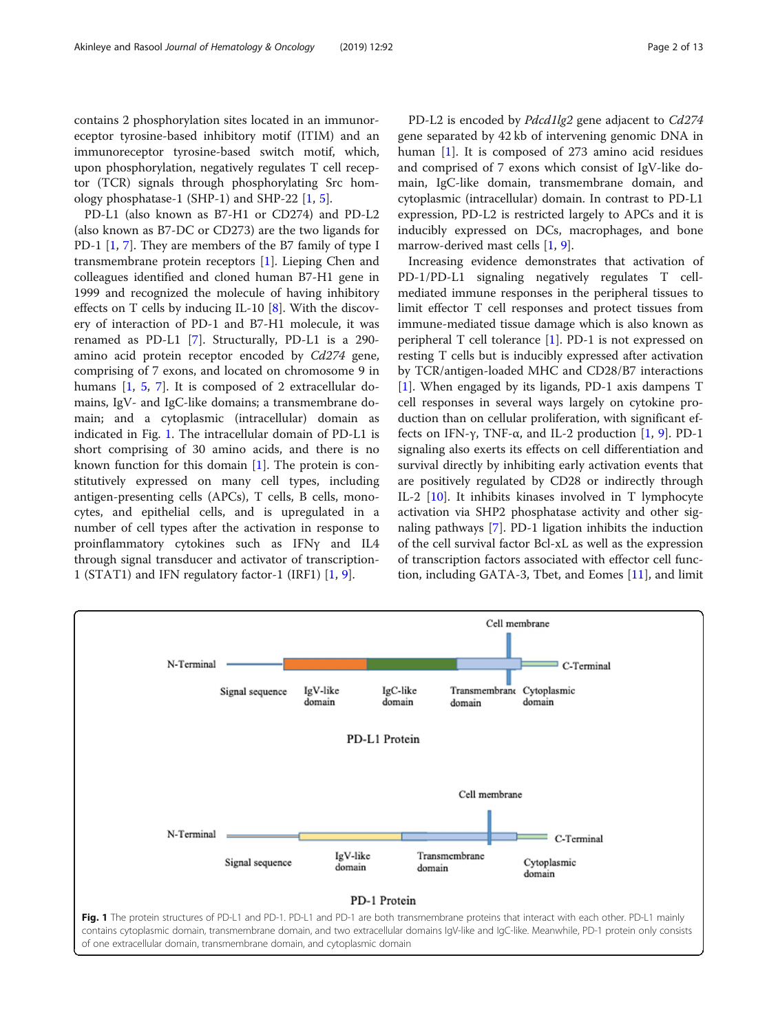contains 2 phosphorylation sites located in an immunoreceptor tyrosine-based inhibitory motif (ITIM) and an immunoreceptor tyrosine-based switch motif, which, upon phosphorylation, negatively regulates T cell receptor (TCR) signals through phosphorylating Src homology phosphatase-1 (SHP-1) and SHP-22 [\[1](#page-10-0), [5](#page-10-0)].

PD-L1 (also known as B7-H1 or CD274) and PD-L2 (also known as B7-DC or CD273) are the two ligands for PD-1 [\[1,](#page-10-0) [7](#page-10-0)]. They are members of the B7 family of type I transmembrane protein receptors [\[1](#page-10-0)]. Lieping Chen and colleagues identified and cloned human B7-H1 gene in 1999 and recognized the molecule of having inhibitory effects on T cells by inducing IL-10 [\[8](#page-10-0)]. With the discovery of interaction of PD-1 and B7-H1 molecule, it was renamed as PD-L1 [\[7\]](#page-10-0). Structurally, PD-L1 is a 290 amino acid protein receptor encoded by Cd274 gene, comprising of 7 exons, and located on chromosome 9 in humans [[1](#page-10-0), [5,](#page-10-0) [7](#page-10-0)]. It is composed of 2 extracellular domains, IgV- and IgC-like domains; a transmembrane domain; and a cytoplasmic (intracellular) domain as indicated in Fig. 1. The intracellular domain of PD-L1 is short comprising of 30 amino acids, and there is no known function for this domain  $[1]$  $[1]$ . The protein is constitutively expressed on many cell types, including antigen-presenting cells (APCs), T cells, B cells, monocytes, and epithelial cells, and is upregulated in a number of cell types after the activation in response to proinflammatory cytokines such as IFNγ and IL4 through signal transducer and activator of transcription-1 (STAT1) and IFN regulatory factor-1 (IRF1) [[1,](#page-10-0) [9\]](#page-10-0).

PD-L2 is encoded by Pdcd1lg2 gene adjacent to Cd274 gene separated by 42 kb of intervening genomic DNA in human  $[1]$  $[1]$ . It is composed of 273 amino acid residues and comprised of 7 exons which consist of IgV-like domain, IgC-like domain, transmembrane domain, and cytoplasmic (intracellular) domain. In contrast to PD-L1 expression, PD-L2 is restricted largely to APCs and it is inducibly expressed on DCs, macrophages, and bone marrow-derived mast cells [\[1](#page-10-0), [9](#page-10-0)].

Increasing evidence demonstrates that activation of PD-1/PD-L1 signaling negatively regulates T cellmediated immune responses in the peripheral tissues to limit effector T cell responses and protect tissues from immune-mediated tissue damage which is also known as peripheral T cell tolerance [\[1](#page-10-0)]. PD-1 is not expressed on resting T cells but is inducibly expressed after activation by TCR/antigen-loaded MHC and CD28/B7 interactions [[1\]](#page-10-0). When engaged by its ligands, PD-1 axis dampens T cell responses in several ways largely on cytokine production than on cellular proliferation, with significant effects on IFN- $\gamma$ , TNF- $\alpha$ , and IL-2 production [[1,](#page-10-0) [9\]](#page-10-0). PD-1 signaling also exerts its effects on cell differentiation and survival directly by inhibiting early activation events that are positively regulated by CD28 or indirectly through IL-2 [[10\]](#page-10-0). It inhibits kinases involved in T lymphocyte activation via SHP2 phosphatase activity and other signaling pathways [\[7](#page-10-0)]. PD-1 ligation inhibits the induction of the cell survival factor Bcl-xL as well as the expression of transcription factors associated with effector cell function, including GATA-3, Tbet, and Eomes [[11](#page-10-0)], and limit

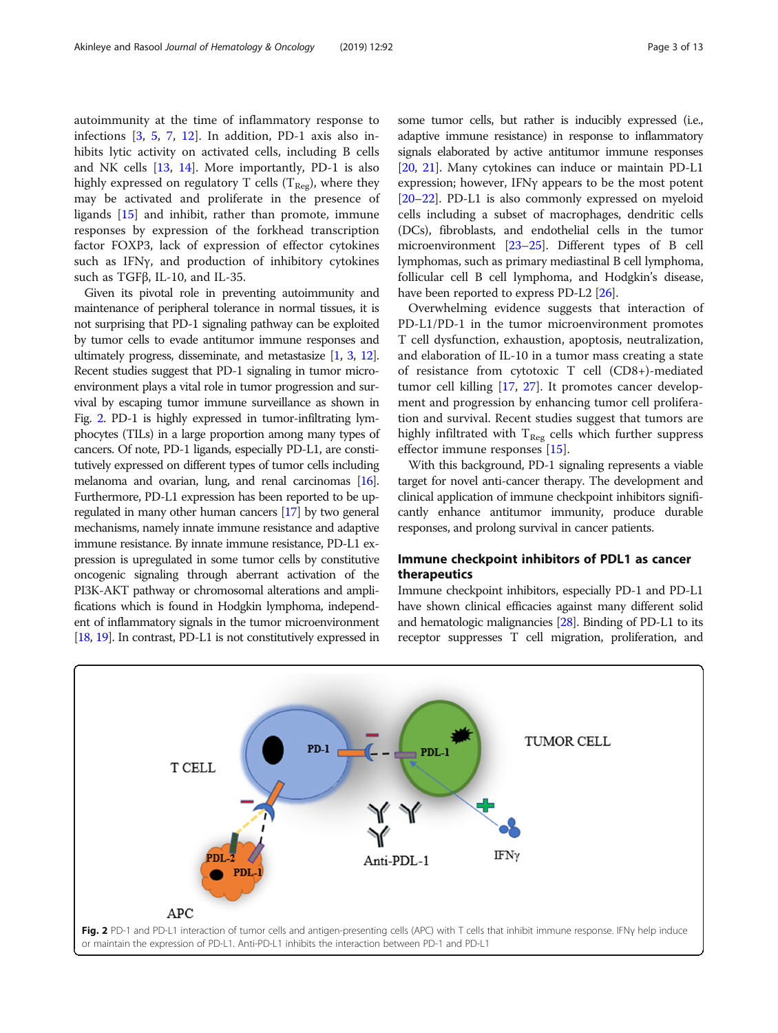autoimmunity at the time of inflammatory response to infections [\[3](#page-10-0), [5,](#page-10-0) [7](#page-10-0), [12\]](#page-10-0). In addition, PD-1 axis also inhibits lytic activity on activated cells, including B cells and NK cells [\[13](#page-10-0), [14\]](#page-10-0). More importantly, PD-1 is also highly expressed on regulatory T cells ( $T_{\text{Reg}}$ ), where they may be activated and proliferate in the presence of ligands [[15\]](#page-10-0) and inhibit, rather than promote, immune responses by expression of the forkhead transcription factor FOXP3, lack of expression of effector cytokines such as IFNγ, and production of inhibitory cytokines such as TGFβ, IL-10, and IL-35.

Given its pivotal role in preventing autoimmunity and maintenance of peripheral tolerance in normal tissues, it is not surprising that PD-1 signaling pathway can be exploited by tumor cells to evade antitumor immune responses and ultimately progress, disseminate, and metastasize [[1](#page-10-0), [3,](#page-10-0) [12\]](#page-10-0). Recent studies suggest that PD-1 signaling in tumor microenvironment plays a vital role in tumor progression and survival by escaping tumor immune surveillance as shown in Fig. 2. PD-1 is highly expressed in tumor-infiltrating lymphocytes (TILs) in a large proportion among many types of cancers. Of note, PD-1 ligands, especially PD-L1, are constitutively expressed on different types of tumor cells including melanoma and ovarian, lung, and renal carcinomas [\[16\]](#page-10-0). Furthermore, PD-L1 expression has been reported to be upregulated in many other human cancers [\[17](#page-10-0)] by two general mechanisms, namely innate immune resistance and adaptive immune resistance. By innate immune resistance, PD-L1 expression is upregulated in some tumor cells by constitutive oncogenic signaling through aberrant activation of the PI3K-AKT pathway or chromosomal alterations and amplifications which is found in Hodgkin lymphoma, independent of inflammatory signals in the tumor microenvironment [[18,](#page-10-0) [19\]](#page-10-0). In contrast, PD-L1 is not constitutively expressed in some tumor cells, but rather is inducibly expressed (i.e., adaptive immune resistance) in response to inflammatory signals elaborated by active antitumor immune responses [[20](#page-10-0), [21](#page-10-0)]. Many cytokines can induce or maintain PD-L1 expression; however, IFNγ appears to be the most potent [[20](#page-10-0)–[22\]](#page-10-0). PD-L1 is also commonly expressed on myeloid cells including a subset of macrophages, dendritic cells (DCs), fibroblasts, and endothelial cells in the tumor microenvironment [[23](#page-10-0)–[25\]](#page-11-0). Different types of B cell lymphomas, such as primary mediastinal B cell lymphoma, follicular cell B cell lymphoma, and Hodgkin's disease, have been reported to express PD-L2 [[26](#page-11-0)].

Overwhelming evidence suggests that interaction of PD-L1/PD-1 in the tumor microenvironment promotes T cell dysfunction, exhaustion, apoptosis, neutralization, and elaboration of IL-10 in a tumor mass creating a state of resistance from cytotoxic T cell (CD8+)-mediated tumor cell killing [[17](#page-10-0), [27](#page-11-0)]. It promotes cancer development and progression by enhancing tumor cell proliferation and survival. Recent studies suggest that tumors are highly infiltrated with  $T_{Reg}$  cells which further suppress effector immune responses [\[15](#page-10-0)].

With this background, PD-1 signaling represents a viable target for novel anti-cancer therapy. The development and clinical application of immune checkpoint inhibitors significantly enhance antitumor immunity, produce durable responses, and prolong survival in cancer patients.

# Immune checkpoint inhibitors of PDL1 as cancer therapeutics

Immune checkpoint inhibitors, especially PD-1 and PD-L1 have shown clinical efficacies against many different solid and hematologic malignancies [\[28\]](#page-11-0). Binding of PD-L1 to its receptor suppresses T cell migration, proliferation, and

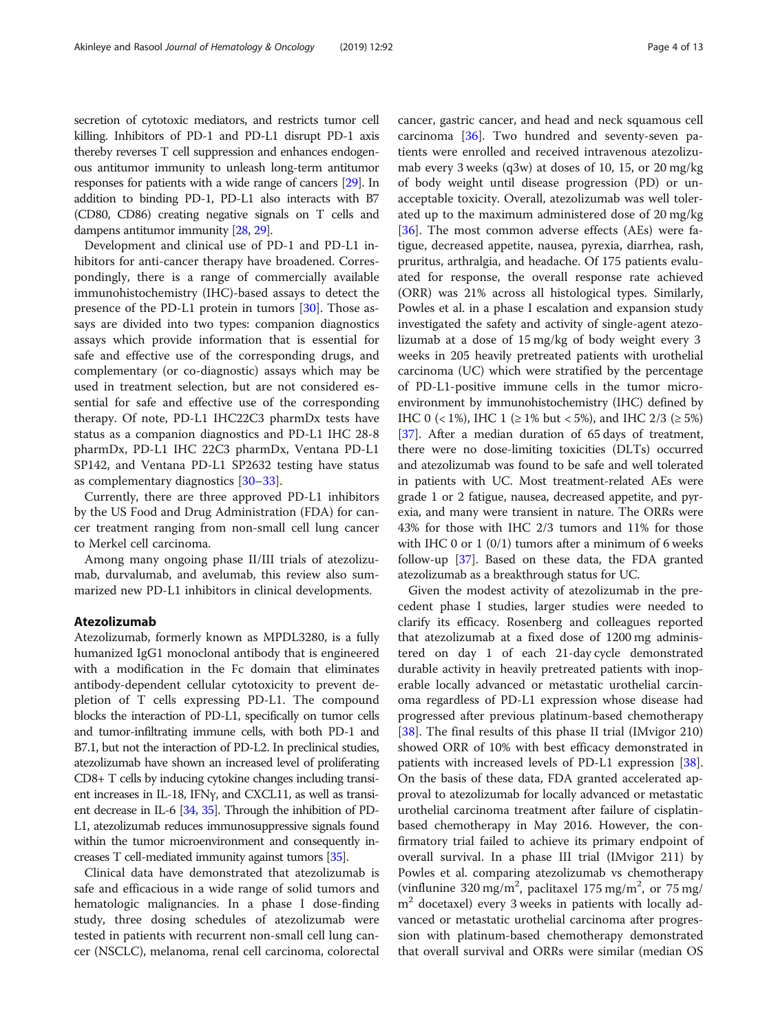secretion of cytotoxic mediators, and restricts tumor cell killing. Inhibitors of PD-1 and PD-L1 disrupt PD-1 axis thereby reverses T cell suppression and enhances endogenous antitumor immunity to unleash long-term antitumor responses for patients with a wide range of cancers [[29](#page-11-0)]. In addition to binding PD-1, PD-L1 also interacts with B7 (CD80, CD86) creating negative signals on T cells and dampens antitumor immunity [\[28,](#page-11-0) [29\]](#page-11-0).

Development and clinical use of PD-1 and PD-L1 inhibitors for anti-cancer therapy have broadened. Correspondingly, there is a range of commercially available immunohistochemistry (IHC)-based assays to detect the presence of the PD-L1 protein in tumors [\[30\]](#page-11-0). Those assays are divided into two types: companion diagnostics assays which provide information that is essential for safe and effective use of the corresponding drugs, and complementary (or co-diagnostic) assays which may be used in treatment selection, but are not considered essential for safe and effective use of the corresponding therapy. Of note, PD-L1 IHC22C3 pharmDx tests have status as a companion diagnostics and PD-L1 IHC 28-8 pharmDx, PD-L1 IHC 22C3 pharmDx, Ventana PD-L1 SP142, and Ventana PD-L1 SP2632 testing have status as complementary diagnostics [\[30](#page-11-0)–[33](#page-11-0)].

Currently, there are three approved PD-L1 inhibitors by the US Food and Drug Administration (FDA) for cancer treatment ranging from non-small cell lung cancer to Merkel cell carcinoma.

Among many ongoing phase II/III trials of atezolizumab, durvalumab, and avelumab, this review also summarized new PD-L1 inhibitors in clinical developments.

### Atezolizumab

Atezolizumab, formerly known as MPDL3280, is a fully humanized IgG1 monoclonal antibody that is engineered with a modification in the Fc domain that eliminates antibody-dependent cellular cytotoxicity to prevent depletion of T cells expressing PD-L1. The compound blocks the interaction of PD-L1, specifically on tumor cells and tumor-infiltrating immune cells, with both PD-1 and B7.1, but not the interaction of PD-L2. In preclinical studies, atezolizumab have shown an increased level of proliferating CD8+ T cells by inducing cytokine changes including transient increases in IL-18, IFNγ, and CXCL11, as well as transient decrease in IL-6 [\[34,](#page-11-0) [35\]](#page-11-0). Through the inhibition of PD-L1, atezolizumab reduces immunosuppressive signals found within the tumor microenvironment and consequently increases T cell-mediated immunity against tumors [\[35](#page-11-0)].

Clinical data have demonstrated that atezolizumab is safe and efficacious in a wide range of solid tumors and hematologic malignancies. In a phase I dose-finding study, three dosing schedules of atezolizumab were tested in patients with recurrent non-small cell lung cancer (NSCLC), melanoma, renal cell carcinoma, colorectal cancer, gastric cancer, and head and neck squamous cell carcinoma [\[36](#page-11-0)]. Two hundred and seventy-seven patients were enrolled and received intravenous atezolizumab every 3 weeks (q3w) at doses of 10, 15, or 20 mg/kg of body weight until disease progression (PD) or unacceptable toxicity. Overall, atezolizumab was well tolerated up to the maximum administered dose of 20 mg/kg [[36\]](#page-11-0). The most common adverse effects (AEs) were fatigue, decreased appetite, nausea, pyrexia, diarrhea, rash, pruritus, arthralgia, and headache. Of 175 patients evaluated for response, the overall response rate achieved (ORR) was 21% across all histological types. Similarly, Powles et al. in a phase I escalation and expansion study investigated the safety and activity of single-agent atezolizumab at a dose of 15 mg/kg of body weight every 3 weeks in 205 heavily pretreated patients with urothelial carcinoma (UC) which were stratified by the percentage of PD-L1-positive immune cells in the tumor microenvironment by immunohistochemistry (IHC) defined by IHC 0 (< 1%), IHC 1 ( $\geq$  1% but < 5%), and IHC 2/3 ( $\geq$  5%) [[37](#page-11-0)]. After a median duration of 65 days of treatment, there were no dose-limiting toxicities (DLTs) occurred and atezolizumab was found to be safe and well tolerated in patients with UC. Most treatment-related AEs were grade 1 or 2 fatigue, nausea, decreased appetite, and pyrexia, and many were transient in nature. The ORRs were 43% for those with IHC 2/3 tumors and 11% for those with IHC 0 or 1 (0/1) tumors after a minimum of 6 weeks follow-up [\[37](#page-11-0)]. Based on these data, the FDA granted atezolizumab as a breakthrough status for UC.

Given the modest activity of atezolizumab in the precedent phase I studies, larger studies were needed to clarify its efficacy. Rosenberg and colleagues reported that atezolizumab at a fixed dose of 1200 mg administered on day 1 of each 21-day cycle demonstrated durable activity in heavily pretreated patients with inoperable locally advanced or metastatic urothelial carcinoma regardless of PD-L1 expression whose disease had progressed after previous platinum-based chemotherapy [[38\]](#page-11-0). The final results of this phase II trial (IMvigor 210) showed ORR of 10% with best efficacy demonstrated in patients with increased levels of PD-L1 expression [\[38](#page-11-0)]. On the basis of these data, FDA granted accelerated approval to atezolizumab for locally advanced or metastatic urothelial carcinoma treatment after failure of cisplatinbased chemotherapy in May 2016. However, the confirmatory trial failed to achieve its primary endpoint of overall survival. In a phase III trial (IMvigor 211) by Powles et al. comparing atezolizumab vs chemotherapy (vinflunine 320 mg/m<sup>2</sup>, paclitaxel 175 mg/m<sup>2</sup>, or 75 mg/  $m<sup>2</sup>$  docetaxel) every 3 weeks in patients with locally advanced or metastatic urothelial carcinoma after progression with platinum-based chemotherapy demonstrated that overall survival and ORRs were similar (median OS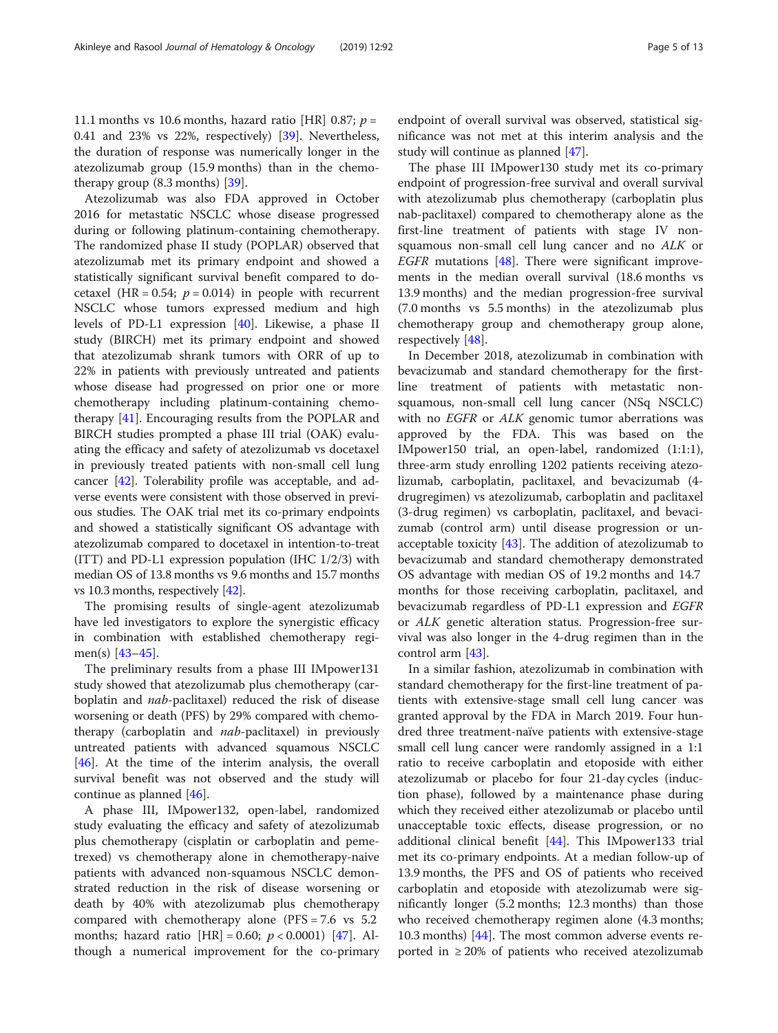11.1 months vs 10.6 months, hazard ratio [HR] 0.87;  $p =$ 0.41 and 23% vs 22%, respectively) [\[39](#page-11-0)]. Nevertheless, the duration of response was numerically longer in the atezolizumab group (15.9 months) than in the chemotherapy group (8.3 months) [[39](#page-11-0)].

Atezolizumab was also FDA approved in October 2016 for metastatic NSCLC whose disease progressed during or following platinum-containing chemotherapy. The randomized phase II study (POPLAR) observed that atezolizumab met its primary endpoint and showed a statistically significant survival benefit compared to docetaxel (HR =  $0.54$ ;  $p = 0.014$ ) in people with recurrent NSCLC whose tumors expressed medium and high levels of PD-L1 expression [\[40\]](#page-11-0). Likewise, a phase II study (BIRCH) met its primary endpoint and showed that atezolizumab shrank tumors with ORR of up to 22% in patients with previously untreated and patients whose disease had progressed on prior one or more chemotherapy including platinum-containing chemotherapy [[41](#page-11-0)]. Encouraging results from the POPLAR and BIRCH studies prompted a phase III trial (OAK) evaluating the efficacy and safety of atezolizumab vs docetaxel in previously treated patients with non-small cell lung cancer [\[42](#page-11-0)]. Tolerability profile was acceptable, and adverse events were consistent with those observed in previous studies. The OAK trial met its co-primary endpoints and showed a statistically significant OS advantage with atezolizumab compared to docetaxel in intention-to-treat (ITT) and PD-L1 expression population (IHC 1/2/3) with median OS of 13.8 months vs 9.6 months and 15.7 months vs 10.3 months, respectively [\[42\]](#page-11-0).

The promising results of single-agent atezolizumab have led investigators to explore the synergistic efficacy in combination with established chemotherapy regimen(s) [[43](#page-11-0)–[45\]](#page-11-0).

The preliminary results from a phase III IMpower131 study showed that atezolizumab plus chemotherapy (carboplatin and nab-paclitaxel) reduced the risk of disease worsening or death (PFS) by 29% compared with chemotherapy (carboplatin and nab-paclitaxel) in previously untreated patients with advanced squamous NSCLC [[46\]](#page-11-0). At the time of the interim analysis, the overall survival benefit was not observed and the study will continue as planned [\[46](#page-11-0)].

A phase III, IMpower132, open-label, randomized study evaluating the efficacy and safety of atezolizumab plus chemotherapy (cisplatin or carboplatin and pemetrexed) vs chemotherapy alone in chemotherapy-naive patients with advanced non-squamous NSCLC demonstrated reduction in the risk of disease worsening or death by 40% with atezolizumab plus chemotherapy compared with chemotherapy alone (PFS = 7.6 vs 5.2 months; hazard ratio  $[HR] = 0.60$ ;  $p < 0.0001$ )  $[47]$  $[47]$ . Although a numerical improvement for the co-primary

endpoint of overall survival was observed, statistical significance was not met at this interim analysis and the study will continue as planned [[47](#page-11-0)].

The phase III IMpower130 study met its co-primary endpoint of progression-free survival and overall survival with atezolizumab plus chemotherapy (carboplatin plus nab-paclitaxel) compared to chemotherapy alone as the first-line treatment of patients with stage IV nonsquamous non-small cell lung cancer and no ALK or EGFR mutations  $[48]$  $[48]$ . There were significant improvements in the median overall survival (18.6 months vs 13.9 months) and the median progression-free survival (7.0 months vs 5.5 months) in the atezolizumab plus chemotherapy group and chemotherapy group alone, respectively [\[48](#page-11-0)].

In December 2018, atezolizumab in combination with bevacizumab and standard chemotherapy for the firstline treatment of patients with metastatic nonsquamous, non-small cell lung cancer (NSq NSCLC) with no EGFR or ALK genomic tumor aberrations was approved by the FDA. This was based on the IMpower150 trial, an open-label, randomized (1:1:1), three-arm study enrolling 1202 patients receiving atezolizumab, carboplatin, paclitaxel, and bevacizumab (4 drugregimen) vs atezolizumab, carboplatin and paclitaxel (3-drug regimen) vs carboplatin, paclitaxel, and bevacizumab (control arm) until disease progression or unacceptable toxicity  $[43]$ . The addition of atezolizumab to bevacizumab and standard chemotherapy demonstrated OS advantage with median OS of 19.2 months and 14.7 months for those receiving carboplatin, paclitaxel, and bevacizumab regardless of PD-L1 expression and EGFR or ALK genetic alteration status. Progression-free survival was also longer in the 4-drug regimen than in the control arm [\[43](#page-11-0)].

In a similar fashion, atezolizumab in combination with standard chemotherapy for the first-line treatment of patients with extensive-stage small cell lung cancer was granted approval by the FDA in March 2019. Four hundred three treatment-naïve patients with extensive-stage small cell lung cancer were randomly assigned in a 1:1 ratio to receive carboplatin and etoposide with either atezolizumab or placebo for four 21-day cycles (induction phase), followed by a maintenance phase during which they received either atezolizumab or placebo until unacceptable toxic effects, disease progression, or no additional clinical benefit [[44\]](#page-11-0). This IMpower133 trial met its co-primary endpoints. At a median follow-up of 13.9 months, the PFS and OS of patients who received carboplatin and etoposide with atezolizumab were significantly longer (5.2 months; 12.3 months) than those who received chemotherapy regimen alone (4.3 months; 10.3 months) [\[44\]](#page-11-0). The most common adverse events reported in  $\geq 20\%$  of patients who received atezolizumab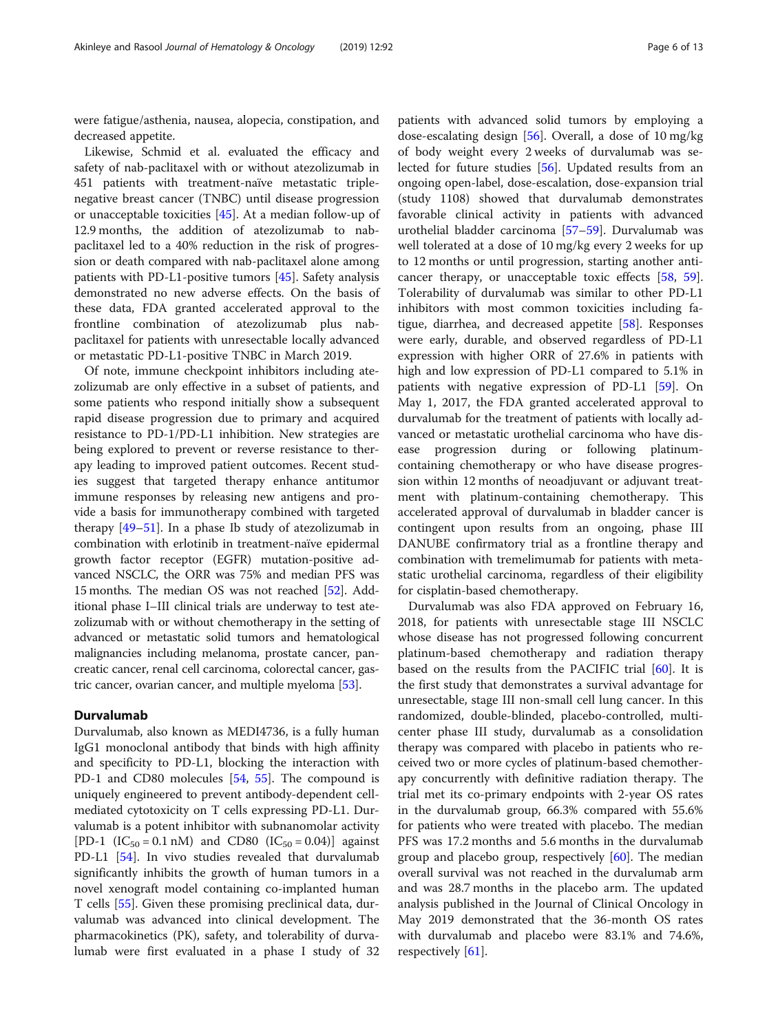were fatigue/asthenia, nausea, alopecia, constipation, and decreased appetite.

Likewise, Schmid et al. evaluated the efficacy and safety of nab-paclitaxel with or without atezolizumab in 451 patients with treatment-naïve metastatic triplenegative breast cancer (TNBC) until disease progression or unacceptable toxicities [[45\]](#page-11-0). At a median follow-up of 12.9 months, the addition of atezolizumab to nabpaclitaxel led to a 40% reduction in the risk of progression or death compared with nab-paclitaxel alone among patients with PD-L1-positive tumors [[45](#page-11-0)]. Safety analysis demonstrated no new adverse effects. On the basis of these data, FDA granted accelerated approval to the frontline combination of atezolizumab plus nabpaclitaxel for patients with unresectable locally advanced or metastatic PD-L1-positive TNBC in March 2019.

Of note, immune checkpoint inhibitors including atezolizumab are only effective in a subset of patients, and some patients who respond initially show a subsequent rapid disease progression due to primary and acquired resistance to PD-1/PD-L1 inhibition. New strategies are being explored to prevent or reverse resistance to therapy leading to improved patient outcomes. Recent studies suggest that targeted therapy enhance antitumor immune responses by releasing new antigens and provide a basis for immunotherapy combined with targeted therapy [\[49](#page-11-0)–[51\]](#page-11-0). In a phase Ib study of atezolizumab in combination with erlotinib in treatment-naïve epidermal growth factor receptor (EGFR) mutation-positive advanced NSCLC, the ORR was 75% and median PFS was 15 months. The median OS was not reached [[52\]](#page-11-0). Additional phase I–III clinical trials are underway to test atezolizumab with or without chemotherapy in the setting of advanced or metastatic solid tumors and hematological malignancies including melanoma, prostate cancer, pancreatic cancer, renal cell carcinoma, colorectal cancer, gastric cancer, ovarian cancer, and multiple myeloma [\[53\]](#page-11-0).

## Durvalumab

Durvalumab, also known as MEDI4736, is a fully human IgG1 monoclonal antibody that binds with high affinity and specificity to PD-L1, blocking the interaction with PD-1 and CD80 molecules [[54](#page-11-0), [55\]](#page-11-0). The compound is uniquely engineered to prevent antibody-dependent cellmediated cytotoxicity on T cells expressing PD-L1. Durvalumab is a potent inhibitor with subnanomolar activity [PD-1 (IC<sub>50</sub> = 0.1 nM) and CD80 (IC<sub>50</sub> = 0.04)] against PD-L1 [[54\]](#page-11-0). In vivo studies revealed that durvalumab significantly inhibits the growth of human tumors in a novel xenograft model containing co-implanted human T cells [[55](#page-11-0)]. Given these promising preclinical data, durvalumab was advanced into clinical development. The pharmacokinetics (PK), safety, and tolerability of durvalumab were first evaluated in a phase I study of 32

patients with advanced solid tumors by employing a dose-escalating design [[56](#page-11-0)]. Overall, a dose of 10 mg/kg of body weight every 2 weeks of durvalumab was selected for future studies [\[56](#page-11-0)]. Updated results from an ongoing open-label, dose-escalation, dose-expansion trial (study 1108) showed that durvalumab demonstrates favorable clinical activity in patients with advanced urothelial bladder carcinoma [\[57](#page-11-0)–[59\]](#page-11-0). Durvalumab was well tolerated at a dose of 10 mg/kg every 2 weeks for up to 12 months or until progression, starting another anticancer therapy, or unacceptable toxic effects [\[58](#page-11-0), [59](#page-11-0)]. Tolerability of durvalumab was similar to other PD-L1 inhibitors with most common toxicities including fa-tigue, diarrhea, and decreased appetite [[58\]](#page-11-0). Responses were early, durable, and observed regardless of PD-L1 expression with higher ORR of 27.6% in patients with high and low expression of PD-L1 compared to 5.1% in patients with negative expression of PD-L1 [\[59](#page-11-0)]. On May 1, 2017, the FDA granted accelerated approval to durvalumab for the treatment of patients with locally advanced or metastatic urothelial carcinoma who have disease progression during or following platinumcontaining chemotherapy or who have disease progression within 12 months of neoadjuvant or adjuvant treatment with platinum-containing chemotherapy. This accelerated approval of durvalumab in bladder cancer is contingent upon results from an ongoing, phase III DANUBE confirmatory trial as a frontline therapy and combination with tremelimumab for patients with metastatic urothelial carcinoma, regardless of their eligibility for cisplatin-based chemotherapy.

Durvalumab was also FDA approved on February 16, 2018, for patients with unresectable stage III NSCLC whose disease has not progressed following concurrent platinum-based chemotherapy and radiation therapy based on the results from the PACIFIC trial [[60\]](#page-11-0). It is the first study that demonstrates a survival advantage for unresectable, stage III non-small cell lung cancer. In this randomized, double-blinded, placebo-controlled, multicenter phase III study, durvalumab as a consolidation therapy was compared with placebo in patients who received two or more cycles of platinum-based chemotherapy concurrently with definitive radiation therapy. The trial met its co-primary endpoints with 2-year OS rates in the durvalumab group, 66.3% compared with 55.6% for patients who were treated with placebo. The median PFS was 17.2 months and 5.6 months in the durvalumab group and placebo group, respectively [[60\]](#page-11-0). The median overall survival was not reached in the durvalumab arm and was 28.7 months in the placebo arm. The updated analysis published in the Journal of Clinical Oncology in May 2019 demonstrated that the 36-month OS rates with durvalumab and placebo were 83.1% and 74.6%, respectively [\[61](#page-11-0)].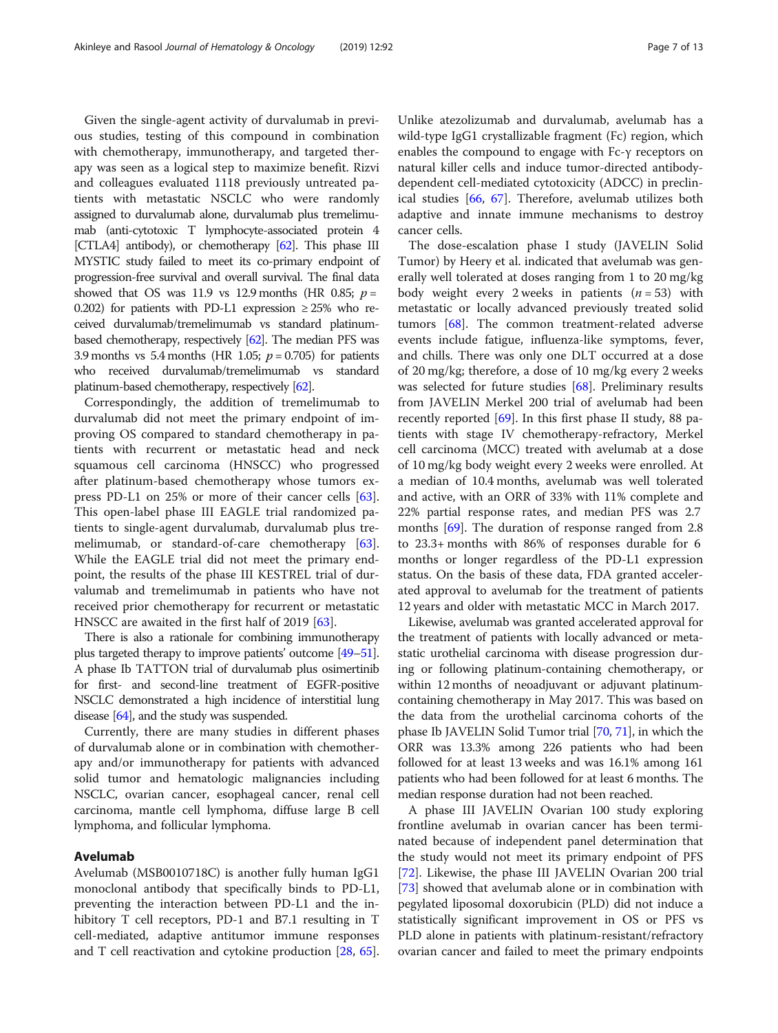Given the single-agent activity of durvalumab in previous studies, testing of this compound in combination with chemotherapy, immunotherapy, and targeted therapy was seen as a logical step to maximize benefit. Rizvi and colleagues evaluated 1118 previously untreated patients with metastatic NSCLC who were randomly assigned to durvalumab alone, durvalumab plus tremelimumab (anti-cytotoxic T lymphocyte-associated protein 4 [CTLA4] antibody), or chemotherapy [\[62](#page-11-0)]. This phase III MYSTIC study failed to meet its co-primary endpoint of progression-free survival and overall survival. The final data showed that OS was 11.9 vs 12.9 months (HR 0.85;  $p =$ 0.202) for patients with PD-L1 expression  $\geq$  25% who received durvalumab/tremelimumab vs standard platinumbased chemotherapy, respectively [\[62\]](#page-11-0). The median PFS was 3.9 months vs 5.4 months (HR 1.05;  $p = 0.705$ ) for patients who received durvalumab/tremelimumab vs standard platinum-based chemotherapy, respectively [[62\]](#page-11-0).

Correspondingly, the addition of tremelimumab to durvalumab did not meet the primary endpoint of improving OS compared to standard chemotherapy in patients with recurrent or metastatic head and neck squamous cell carcinoma (HNSCC) who progressed after platinum-based chemotherapy whose tumors express PD-L1 on 25% or more of their cancer cells [\[63](#page-11-0)]. This open-label phase III EAGLE trial randomized patients to single-agent durvalumab, durvalumab plus tremelimumab, or standard-of-care chemotherapy [\[63](#page-11-0)]. While the EAGLE trial did not meet the primary endpoint, the results of the phase III KESTREL trial of durvalumab and tremelimumab in patients who have not received prior chemotherapy for recurrent or metastatic HNSCC are awaited in the first half of 2019 [[63\]](#page-11-0).

There is also a rationale for combining immunotherapy plus targeted therapy to improve patients' outcome [\[49](#page-11-0)–[51](#page-11-0)]. A phase Ib TATTON trial of durvalumab plus osimertinib for first- and second-line treatment of EGFR-positive NSCLC demonstrated a high incidence of interstitial lung disease [\[64](#page-11-0)], and the study was suspended.

Currently, there are many studies in different phases of durvalumab alone or in combination with chemotherapy and/or immunotherapy for patients with advanced solid tumor and hematologic malignancies including NSCLC, ovarian cancer, esophageal cancer, renal cell carcinoma, mantle cell lymphoma, diffuse large B cell lymphoma, and follicular lymphoma.

### Avelumab

Avelumab (MSB0010718C) is another fully human IgG1 monoclonal antibody that specifically binds to PD-L1, preventing the interaction between PD-L1 and the inhibitory T cell receptors, PD-1 and B7.1 resulting in T cell-mediated, adaptive antitumor immune responses and T cell reactivation and cytokine production [\[28](#page-11-0), [65](#page-11-0)].

Unlike atezolizumab and durvalumab, avelumab has a wild-type IgG1 crystallizable fragment (Fc) region, which enables the compound to engage with Fc-γ receptors on natural killer cells and induce tumor-directed antibodydependent cell-mediated cytotoxicity (ADCC) in preclinical studies [\[66](#page-11-0), [67\]](#page-11-0). Therefore, avelumab utilizes both adaptive and innate immune mechanisms to destroy cancer cells.

The dose-escalation phase I study (JAVELIN Solid Tumor) by Heery et al. indicated that avelumab was generally well tolerated at doses ranging from 1 to 20 mg/kg body weight every 2 weeks in patients  $(n = 53)$  with metastatic or locally advanced previously treated solid tumors [[68](#page-11-0)]. The common treatment-related adverse events include fatigue, influenza-like symptoms, fever, and chills. There was only one DLT occurred at a dose of 20 mg/kg; therefore, a dose of 10 mg/kg every 2 weeks was selected for future studies [[68\]](#page-11-0). Preliminary results from JAVELIN Merkel 200 trial of avelumab had been recently reported [[69](#page-11-0)]. In this first phase II study, 88 patients with stage IV chemotherapy-refractory, Merkel cell carcinoma (MCC) treated with avelumab at a dose of 10 mg/kg body weight every 2 weeks were enrolled. At a median of 10.4 months, avelumab was well tolerated and active, with an ORR of 33% with 11% complete and 22% partial response rates, and median PFS was 2.7 months [[69](#page-11-0)]. The duration of response ranged from 2.8 to 23.3+ months with 86% of responses durable for 6 months or longer regardless of the PD-L1 expression status. On the basis of these data, FDA granted accelerated approval to avelumab for the treatment of patients 12 years and older with metastatic MCC in March 2017.

Likewise, avelumab was granted accelerated approval for the treatment of patients with locally advanced or metastatic urothelial carcinoma with disease progression during or following platinum-containing chemotherapy, or within 12 months of neoadjuvant or adjuvant platinumcontaining chemotherapy in May 2017. This was based on the data from the urothelial carcinoma cohorts of the phase Ib JAVELIN Solid Tumor trial [[70,](#page-11-0) [71\]](#page-11-0), in which the ORR was 13.3% among 226 patients who had been followed for at least 13 weeks and was 16.1% among 161 patients who had been followed for at least 6 months. The median response duration had not been reached.

A phase III JAVELIN Ovarian 100 study exploring frontline avelumab in ovarian cancer has been terminated because of independent panel determination that the study would not meet its primary endpoint of PFS [[72\]](#page-11-0). Likewise, the phase III JAVELIN Ovarian 200 trial [[73\]](#page-11-0) showed that avelumab alone or in combination with pegylated liposomal doxorubicin (PLD) did not induce a statistically significant improvement in OS or PFS vs PLD alone in patients with platinum-resistant/refractory ovarian cancer and failed to meet the primary endpoints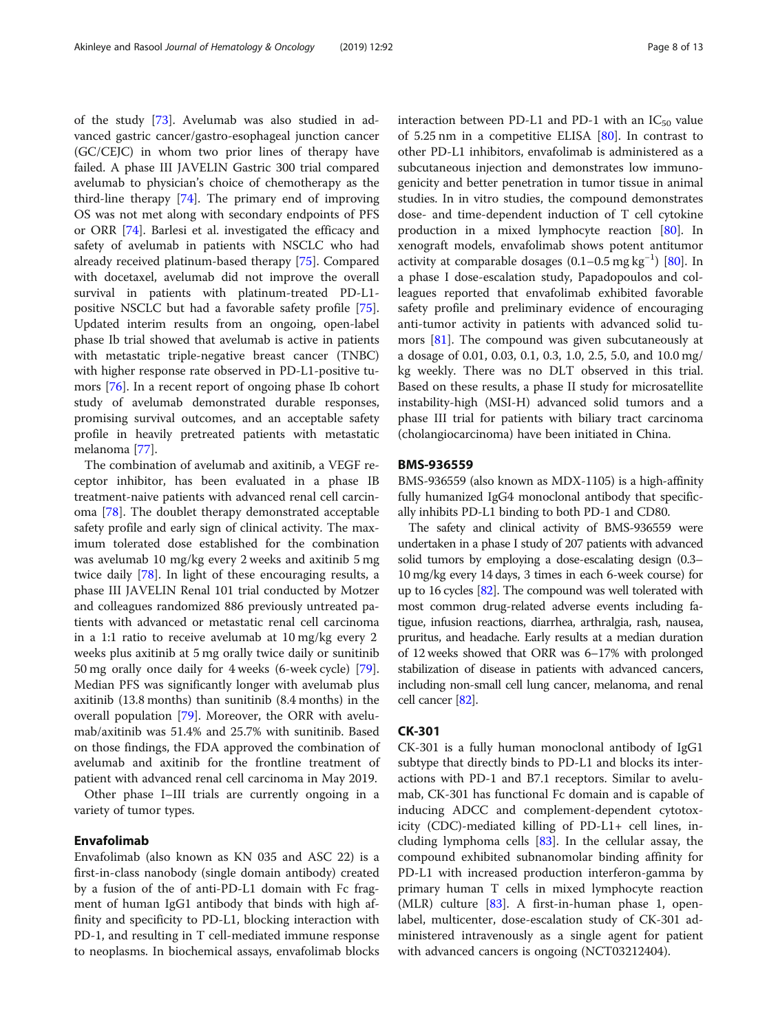of the study [\[73\]](#page-11-0). Avelumab was also studied in advanced gastric cancer/gastro-esophageal junction cancer (GC/CEJC) in whom two prior lines of therapy have failed. A phase III JAVELIN Gastric 300 trial compared avelumab to physician's choice of chemotherapy as the third-line therapy [\[74](#page-11-0)]. The primary end of improving OS was not met along with secondary endpoints of PFS or ORR [[74](#page-11-0)]. Barlesi et al. investigated the efficacy and safety of avelumab in patients with NSCLC who had already received platinum-based therapy [\[75](#page-12-0)]. Compared with docetaxel, avelumab did not improve the overall survival in patients with platinum-treated PD-L1 positive NSCLC but had a favorable safety profile [\[75](#page-12-0)]. Updated interim results from an ongoing, open-label phase Ib trial showed that avelumab is active in patients with metastatic triple-negative breast cancer (TNBC) with higher response rate observed in PD-L1-positive tumors [[76\]](#page-12-0). In a recent report of ongoing phase Ib cohort study of avelumab demonstrated durable responses, promising survival outcomes, and an acceptable safety profile in heavily pretreated patients with metastatic melanoma [\[77](#page-12-0)].

The combination of avelumab and axitinib, a VEGF receptor inhibitor, has been evaluated in a phase IB treatment-naive patients with advanced renal cell carcinoma [\[78\]](#page-12-0). The doublet therapy demonstrated acceptable safety profile and early sign of clinical activity. The maximum tolerated dose established for the combination was avelumab 10 mg/kg every 2 weeks and axitinib 5 mg twice daily [\[78](#page-12-0)]. In light of these encouraging results, a phase III JAVELIN Renal 101 trial conducted by Motzer and colleagues randomized 886 previously untreated patients with advanced or metastatic renal cell carcinoma in a 1:1 ratio to receive avelumab at 10 mg/kg every 2 weeks plus axitinib at 5 mg orally twice daily or sunitinib 50 mg orally once daily for 4 weeks (6-week cycle) [\[79](#page-12-0)]. Median PFS was significantly longer with avelumab plus axitinib (13.8 months) than sunitinib (8.4 months) in the overall population [[79\]](#page-12-0). Moreover, the ORR with avelumab/axitinib was 51.4% and 25.7% with sunitinib. Based on those findings, the FDA approved the combination of avelumab and axitinib for the frontline treatment of patient with advanced renal cell carcinoma in May 2019. Other phase I–III trials are currently ongoing in a

variety of tumor types.

# Envafolimab

Envafolimab (also known as KN 035 and ASC 22) is a first-in-class nanobody (single domain antibody) created by a fusion of the of anti-PD-L1 domain with Fc fragment of human IgG1 antibody that binds with high affinity and specificity to PD-L1, blocking interaction with PD-1, and resulting in T cell-mediated immune response to neoplasms. In biochemical assays, envafolimab blocks interaction between PD-L1 and PD-1 with an  $IC_{50}$  value of 5.25 nm in a competitive ELISA [\[80](#page-12-0)]. In contrast to other PD-L1 inhibitors, envafolimab is administered as a subcutaneous injection and demonstrates low immunogenicity and better penetration in tumor tissue in animal studies. In in vitro studies, the compound demonstrates dose- and time-dependent induction of T cell cytokine production in a mixed lymphocyte reaction [\[80](#page-12-0)]. In xenograft models, envafolimab shows potent antitumor activity at comparable dosages (0.1–0.5 mg kg−<sup>1</sup> ) [\[80](#page-12-0)]. In a phase I dose-escalation study, Papadopoulos and colleagues reported that envafolimab exhibited favorable safety profile and preliminary evidence of encouraging anti-tumor activity in patients with advanced solid tumors  $[81]$  $[81]$  $[81]$ . The compound was given subcutaneously at a dosage of 0.01, 0.03, 0.1, 0.3, 1.0, 2.5, 5.0, and 10.0 mg/ kg weekly. There was no DLT observed in this trial. Based on these results, a phase II study for microsatellite instability-high (MSI-H) advanced solid tumors and a phase III trial for patients with biliary tract carcinoma (cholangiocarcinoma) have been initiated in China.

### BMS-936559

BMS-936559 (also known as MDX-1105) is a high-affinity fully humanized IgG4 monoclonal antibody that specifically inhibits PD-L1 binding to both PD-1 and CD80.

The safety and clinical activity of BMS-936559 were undertaken in a phase I study of 207 patients with advanced solid tumors by employing a dose-escalating design (0.3– 10 mg/kg every 14 days, 3 times in each 6-week course) for up to 16 cycles [\[82](#page-12-0)]. The compound was well tolerated with most common drug-related adverse events including fatigue, infusion reactions, diarrhea, arthralgia, rash, nausea, pruritus, and headache. Early results at a median duration of 12 weeks showed that ORR was 6–17% with prolonged stabilization of disease in patients with advanced cancers, including non-small cell lung cancer, melanoma, and renal cell cancer [[82](#page-12-0)].

#### CK-301

CK-301 is a fully human monoclonal antibody of IgG1 subtype that directly binds to PD-L1 and blocks its interactions with PD-1 and B7.1 receptors. Similar to avelumab, CK-301 has functional Fc domain and is capable of inducing ADCC and complement-dependent cytotoxicity (CDC)-mediated killing of PD-L1+ cell lines, including lymphoma cells [[83\]](#page-12-0). In the cellular assay, the compound exhibited subnanomolar binding affinity for PD-L1 with increased production interferon-gamma by primary human T cells in mixed lymphocyte reaction (MLR) culture [[83\]](#page-12-0). A first-in-human phase 1, openlabel, multicenter, dose-escalation study of CK-301 administered intravenously as a single agent for patient with advanced cancers is ongoing (NCT03212404).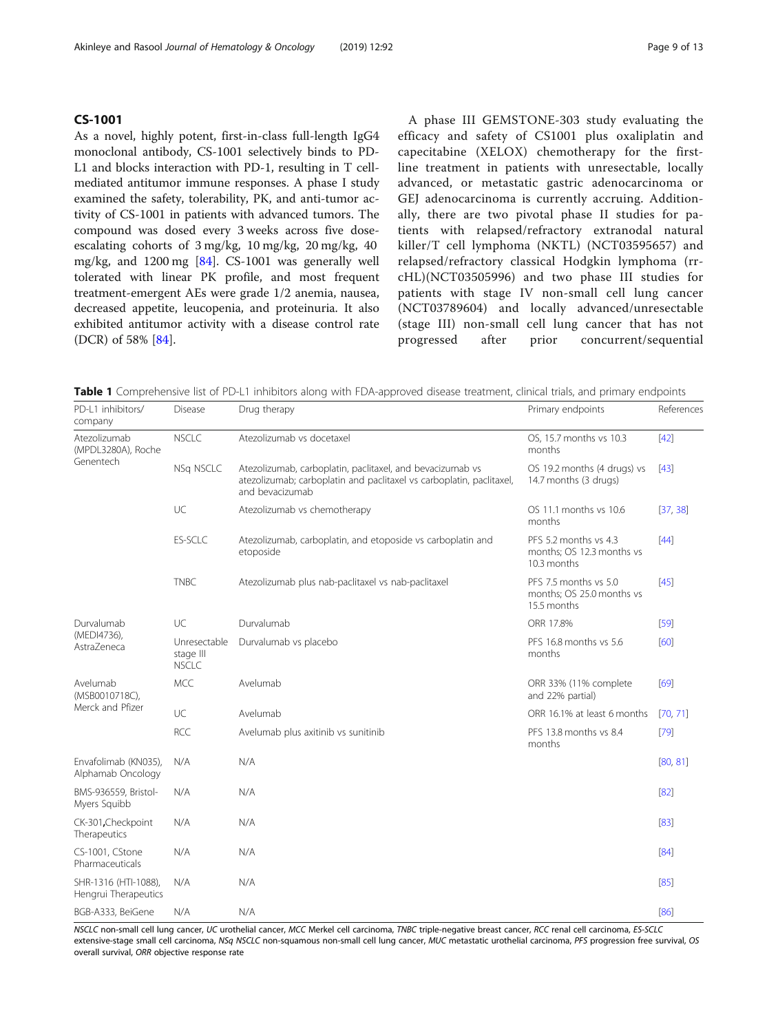#### <span id="page-8-0"></span>CS-1001

As a novel, highly potent, first-in-class full-length IgG4 monoclonal antibody, CS-1001 selectively binds to PD-L1 and blocks interaction with PD-1, resulting in T cellmediated antitumor immune responses. A phase I study examined the safety, tolerability, PK, and anti-tumor activity of CS-1001 in patients with advanced tumors. The compound was dosed every 3 weeks across five doseescalating cohorts of 3 mg/kg, 10 mg/kg, 20 mg/kg, 40 mg/kg, and 1200 mg [[84](#page-12-0)]. CS-1001 was generally well tolerated with linear PK profile, and most frequent treatment-emergent AEs were grade 1/2 anemia, nausea, decreased appetite, leucopenia, and proteinuria. It also exhibited antitumor activity with a disease control rate (DCR) of 58% [[84](#page-12-0)].

A phase III GEMSTONE-303 study evaluating the efficacy and safety of CS1001 plus oxaliplatin and capecitabine (XELOX) chemotherapy for the firstline treatment in patients with unresectable, locally advanced, or metastatic gastric adenocarcinoma or GEJ adenocarcinoma is currently accruing. Additionally, there are two pivotal phase II studies for patients with relapsed/refractory extranodal natural killer/T cell lymphoma (NKTL) (NCT03595657) and relapsed/refractory classical Hodgkin lymphoma (rrcHL)(NCT03505996) and two phase III studies for patients with stage IV non-small cell lung cancer (NCT03789604) and locally advanced/unresectable (stage III) non-small cell lung cancer that has not progressed after prior concurrent/sequential

Table 1 Comprehensive list of PD-L1 inhibitors along with FDA-approved disease treatment, clinical trials, and primary endpoints

| PD-L1 inhibitors/<br>company                    | <b>Disease</b>                            | Drug therapy                                                                                                                                         | Primary endpoints                                                 | References |
|-------------------------------------------------|-------------------------------------------|------------------------------------------------------------------------------------------------------------------------------------------------------|-------------------------------------------------------------------|------------|
| Atezolizumab<br>(MPDL3280A), Roche<br>Genentech | <b>NSCLC</b>                              | Atezolizumab vs docetaxel                                                                                                                            | OS, 15.7 months vs 10.3<br>months                                 | $[42]$     |
|                                                 | NSq NSCLC                                 | Atezolizumab, carboplatin, paclitaxel, and bevacizumab vs<br>atezolizumab; carboplatin and paclitaxel vs carboplatin, paclitaxel,<br>and bevacizumab | OS 19.2 months (4 drugs) vs<br>14.7 months (3 drugs)              | $[43]$     |
|                                                 | UC                                        | Atezolizumab vs chemotherapy                                                                                                                         | OS 11.1 months vs 10.6<br>months                                  | [37, 38]   |
|                                                 | <b>ES-SCLC</b>                            | Atezolizumab, carboplatin, and etoposide vs carboplatin and<br>etoposide                                                                             | PFS 5.2 months vs 4.3<br>months; OS 12.3 months vs<br>10.3 months | $[44]$     |
|                                                 | <b>TNBC</b>                               | Atezolizumab plus nab-paclitaxel vs nab-paclitaxel                                                                                                   | PFS 7.5 months vs 5.0<br>months; OS 25.0 months vs<br>15.5 months | $[45]$     |
| Durvalumab<br>(MEDI4736),<br>AstraZeneca        | UC                                        | Durvalumab                                                                                                                                           | ORR 17.8%                                                         | $[59]$     |
|                                                 | Unresectable<br>stage III<br><b>NSCLC</b> | Durvalumab vs placebo                                                                                                                                | PFS 16.8 months vs 5.6<br>months                                  | [60]       |
| Avelumab<br>(MSB0010718C),<br>Merck and Pfizer  | <b>MCC</b>                                | Avelumab                                                                                                                                             | ORR 33% (11% complete<br>and 22% partial)                         | [69]       |
|                                                 | UC                                        | Avelumab                                                                                                                                             | ORR 16.1% at least 6 months                                       | [70, 71]   |
|                                                 | <b>RCC</b>                                | Avelumab plus axitinib vs sunitinib                                                                                                                  | PFS 13.8 months ys 8.4<br>months                                  | $[79]$     |
| Envafolimab (KN035).<br>Alphamab Oncology       | N/A                                       | N/A                                                                                                                                                  |                                                                   | [80, 81]   |
| BMS-936559, Bristol-<br>Myers Squibb            | N/A                                       | N/A                                                                                                                                                  |                                                                   |            |
| CK-301, Checkpoint<br>Therapeutics              | N/A                                       | N/A                                                                                                                                                  |                                                                   | $[83]$     |
| CS-1001, CStone<br>Pharmaceuticals              | N/A                                       | N/A                                                                                                                                                  |                                                                   | [84]       |
| SHR-1316 (HTI-1088),<br>Hengrui Therapeutics    | N/A                                       | N/A                                                                                                                                                  |                                                                   | [85]       |
| BGB-A333, BeiGene                               | N/A                                       | N/A                                                                                                                                                  |                                                                   | [86]       |

NSCLC non-small cell lung cancer, UC urothelial cancer, MCC Merkel cell carcinoma, TNBC triple-negative breast cancer, RCC renal cell carcinoma, ES-SCLC extensive-stage small cell carcinoma, NSq NSCLC non-squamous non-small cell lung cancer, MUC metastatic urothelial carcinoma, PFS progression free survival, OS overall survival, ORR objective response rate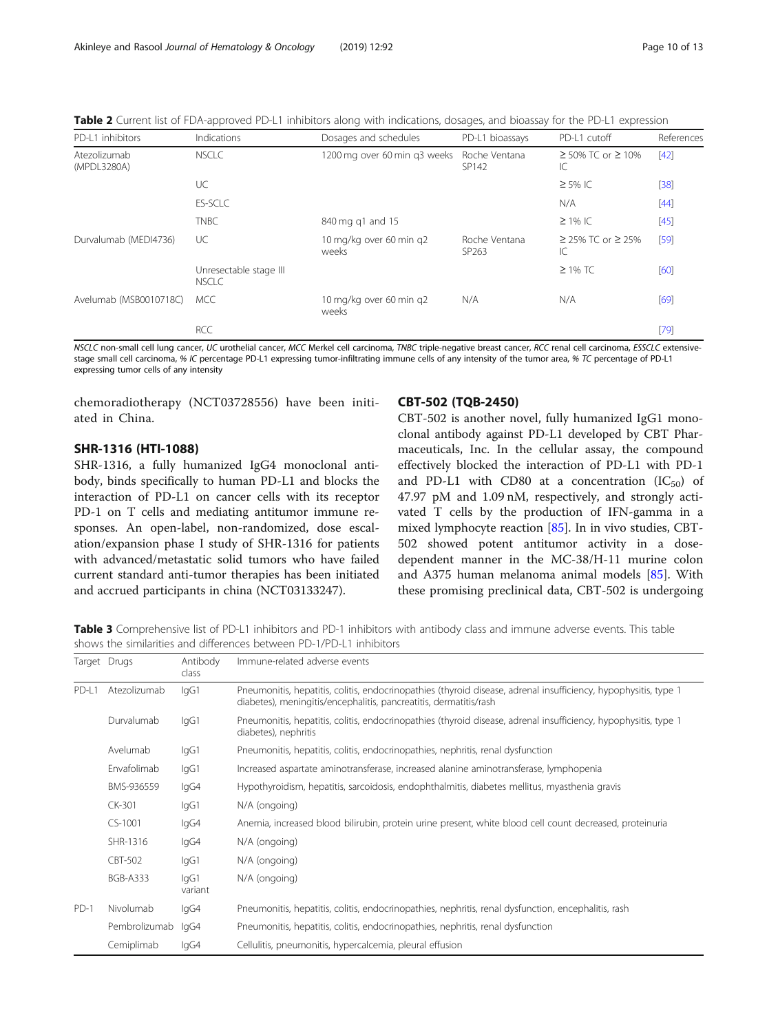<span id="page-9-0"></span>Table 2 Current list of FDA-approved PD-L1 inhibitors along with indications, dosages, and bioassay for the PD-L1 expression

| PD-L1 inhibitors            | Indications                            | Dosages and schedules            | PD-L1 bioassays                    | PD-L1 cutoff                  | References |
|-----------------------------|----------------------------------------|----------------------------------|------------------------------------|-------------------------------|------------|
| Atezolizumab<br>(MPDL3280A) | <b>NSCLC</b>                           | 1200 mg over 60 min g3 weeks     | Roche Ventana<br>SP142             | $≥ 50\%$ TC or $≥ 10\%$<br>IC | $[42]$     |
|                             | UC                                     |                                  |                                    | $\geq$ 5% IC                  | $[38]$     |
|                             | <b>ES-SCLC</b>                         |                                  |                                    | N/A                           | $[44]$     |
|                             | <b>TNBC</b>                            | 840 mg g1 and 15                 |                                    | $\geq$ 1% IC                  | $[45]$     |
| Durvalumab (MEDI4736)       | UC                                     | 10 mg/kg over 60 min q2<br>weeks | Roche Ventana<br>SP <sub>263</sub> | $≥ 25\%$ TC or $≥ 25\%$<br>IС | [59]       |
|                             | Unresectable stage III<br><b>NSCLC</b> |                                  |                                    | $\geq$ 1% TC                  | [60]       |
| Avelumab (MSB0010718C)      | MCC                                    | 10 mg/kg over 60 min g2<br>weeks | N/A                                | N/A                           | [69]       |
|                             | <b>RCC</b>                             |                                  |                                    |                               | $[79]$     |

NSCLC non-small cell lung cancer, UC urothelial cancer, MCC Merkel cell carcinoma, TNBC triple-negative breast cancer, RCC renal cell carcinoma, ESSCLC extensivestage small cell carcinoma, % IC percentage PD-L1 expressing tumor-infiltrating immune cells of any intensity of the tumor area, % TC percentage of PD-L1 expressing tumor cells of any intensity

chemoradiotherapy (NCT03728556) have been initiated in China.

# SHR-1316 (HTI-1088)

SHR-1316, a fully humanized IgG4 monoclonal antibody, binds specifically to human PD-L1 and blocks the interaction of PD-L1 on cancer cells with its receptor PD-1 on T cells and mediating antitumor immune responses. An open-label, non-randomized, dose escalation/expansion phase I study of SHR-1316 for patients with advanced/metastatic solid tumors who have failed current standard anti-tumor therapies has been initiated and accrued participants in china (NCT03133247).

#### CBT-502 (TQB-2450)

CBT-502 is another novel, fully humanized IgG1 monoclonal antibody against PD-L1 developed by CBT Pharmaceuticals, Inc. In the cellular assay, the compound effectively blocked the interaction of PD-L1 with PD-1 and PD-L1 with CD80 at a concentration  $(IC_{50})$  of 47.97 pM and 1.09 nM, respectively, and strongly activated T cells by the production of IFN-gamma in a mixed lymphocyte reaction [\[85](#page-12-0)]. In in vivo studies, CBT-502 showed potent antitumor activity in a dosedependent manner in the MC-38/H-11 murine colon and A375 human melanoma animal models [\[85](#page-12-0)]. With these promising preclinical data, CBT-502 is undergoing

Table 3 Comprehensive list of PD-L1 inhibitors and PD-1 inhibitors with antibody class and immune adverse events. This table shows the similarities and differences between PD-1/PD-L1 inhibitors

|        | Target Drugs    | Antibody<br>class | Immune-related adverse events                                                                                                                                                        |
|--------|-----------------|-------------------|--------------------------------------------------------------------------------------------------------------------------------------------------------------------------------------|
| PD-L1  | Atezolizumab    | lgG1              | Pneumonitis, hepatitis, colitis, endocrinopathies (thyroid disease, adrenal insufficiency, hypophysitis, type 1<br>diabetes), meningitis/encephalitis, pancreatitis, dermatitis/rash |
|        | Durvalumab      | lgG1              | Pneumonitis, hepatitis, colitis, endocrinopathies (thyroid disease, adrenal insufficiency, hypophysitis, type 1<br>diabetes), nephritis                                              |
|        | Avelumab        | lgG1              | Pneumonitis, hepatitis, colitis, endocrinopathies, nephritis, renal dysfunction                                                                                                      |
|        | Envafolimab     | lgG1              | Increased aspartate aminotransferase, increased alanine aminotransferase, lymphopenia                                                                                                |
|        | BMS-936559      | lgG4              | Hypothyroidism, hepatitis, sarcoidosis, endophthalmitis, diabetes mellitus, myasthenia gravis                                                                                        |
|        | CK-301          | lgG1              | N/A (ongoing)                                                                                                                                                                        |
|        | $CS-1001$       | lgG4              | Anemia, increased blood bilirubin, protein urine present, white blood cell count decreased, proteinuria                                                                              |
|        | SHR-1316        | lgG4              | N/A (ongoing)                                                                                                                                                                        |
|        | CBT-502         | lgG1              | N/A (ongoing)                                                                                                                                                                        |
|        | <b>BGB-A333</b> | lgG1<br>variant   | N/A (ongoing)                                                                                                                                                                        |
| $PD-1$ | Nivolumab       | lgG4              | Pneumonitis, hepatitis, colitis, endocrinopathies, nephritis, renal dysfunction, encephalitis, rash                                                                                  |
|        | Pembrolizumab   | lgG4              | Pneumonitis, hepatitis, colitis, endocrinopathies, nephritis, renal dysfunction                                                                                                      |
|        | Cemiplimab      | lgG4              | Cellulitis, pneumonitis, hypercalcemia, pleural effusion                                                                                                                             |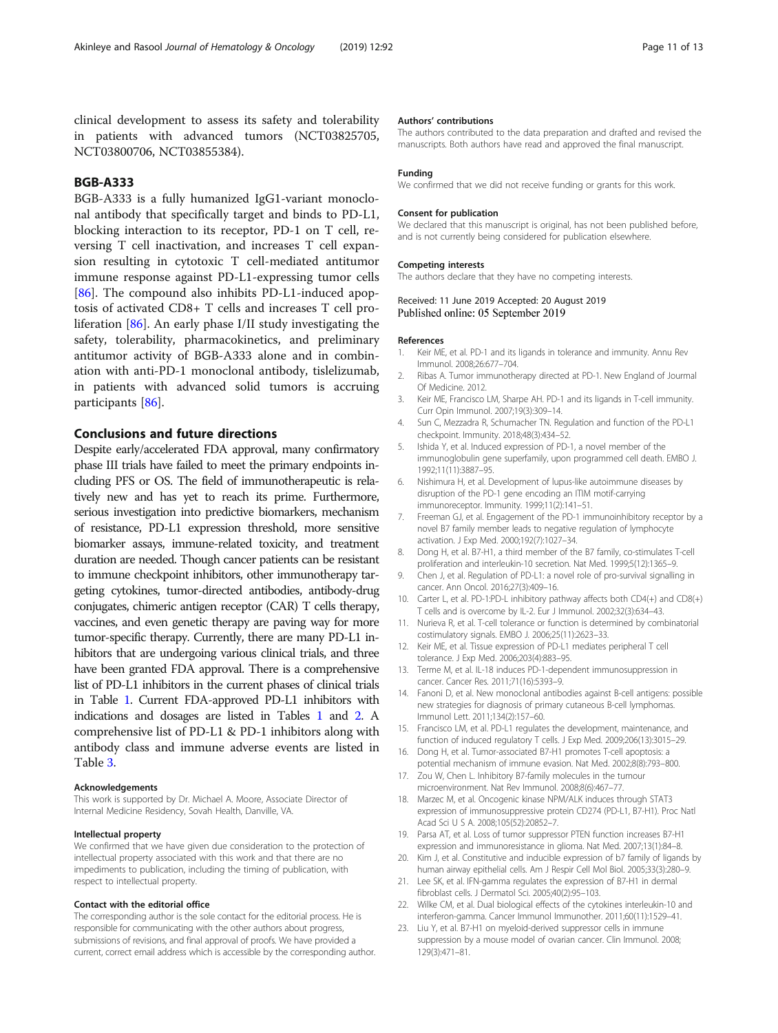<span id="page-10-0"></span>clinical development to assess its safety and tolerability in patients with advanced tumors (NCT03825705, NCT03800706, NCT03855384).

# BGB-A333

BGB-A333 is a fully humanized IgG1-variant monoclonal antibody that specifically target and binds to PD-L1, blocking interaction to its receptor, PD-1 on T cell, reversing T cell inactivation, and increases T cell expansion resulting in cytotoxic T cell-mediated antitumor immune response against PD-L1-expressing tumor cells [[86\]](#page-12-0). The compound also inhibits PD-L1-induced apoptosis of activated CD8+ T cells and increases T cell proliferation [[86](#page-12-0)]. An early phase I/II study investigating the safety, tolerability, pharmacokinetics, and preliminary antitumor activity of BGB-A333 alone and in combination with anti-PD-1 monoclonal antibody, tislelizumab, in patients with advanced solid tumors is accruing participants [[86\]](#page-12-0).

### Conclusions and future directions

Despite early/accelerated FDA approval, many confirmatory phase III trials have failed to meet the primary endpoints including PFS or OS. The field of immunotherapeutic is relatively new and has yet to reach its prime. Furthermore, serious investigation into predictive biomarkers, mechanism of resistance, PD-L1 expression threshold, more sensitive biomarker assays, immune-related toxicity, and treatment duration are needed. Though cancer patients can be resistant to immune checkpoint inhibitors, other immunotherapy targeting cytokines, tumor-directed antibodies, antibody-drug conjugates, chimeric antigen receptor (CAR) T cells therapy, vaccines, and even genetic therapy are paving way for more tumor-specific therapy. Currently, there are many PD-L1 inhibitors that are undergoing various clinical trials, and three have been granted FDA approval. There is a comprehensive list of PD-L1 inhibitors in the current phases of clinical trials in Table [1.](#page-8-0) Current FDA-approved PD-L1 inhibitors with indications and dosages are listed in Tables [1](#page-8-0) and [2](#page-9-0). A comprehensive list of PD-L1 & PD-1 inhibitors along with antibody class and immune adverse events are listed in Table [3.](#page-9-0)

#### Acknowledgements

This work is supported by Dr. Michael A. Moore, Associate Director of Internal Medicine Residency, Sovah Health, Danville, VA.

#### Intellectual property

We confirmed that we have given due consideration to the protection of intellectual property associated with this work and that there are no impediments to publication, including the timing of publication, with respect to intellectual property.

#### Contact with the editorial office

The corresponding author is the sole contact for the editorial process. He is responsible for communicating with the other authors about progress, submissions of revisions, and final approval of proofs. We have provided a current, correct email address which is accessible by the corresponding author.

#### Authors' contributions

The authors contributed to the data preparation and drafted and revised the manuscripts. Both authors have read and approved the final manuscript.

#### Funding

We confirmed that we did not receive funding or grants for this work.

#### Consent for publication

We declared that this manuscript is original, has not been published before, and is not currently being considered for publication elsewhere.

#### Competing interests

The authors declare that they have no competing interests.

#### Received: 11 June 2019 Accepted: 20 August 2019 Published online: 05 September 2019

#### References

- 1. Keir ME, et al. PD-1 and its ligands in tolerance and immunity. Annu Rev Immunol. 2008;26:677–704.
- 2. Ribas A. Tumor immunotherapy directed at PD-1. New England of Jourmal Of Medicine. 2012.
- 3. Keir ME, Francisco LM, Sharpe AH. PD-1 and its ligands in T-cell immunity. Curr Opin Immunol. 2007;19(3):309–14.
- 4. Sun C, Mezzadra R, Schumacher TN. Regulation and function of the PD-L1 checkpoint. Immunity. 2018;48(3):434–52.
- 5. Ishida Y, et al. Induced expression of PD-1, a novel member of the immunoglobulin gene superfamily, upon programmed cell death. EMBO J. 1992;11(11):3887–95.
- 6. Nishimura H, et al. Development of lupus-like autoimmune diseases by disruption of the PD-1 gene encoding an ITIM motif-carrying immunoreceptor. Immunity. 1999;11(2):141–51.
- 7. Freeman GJ, et al. Engagement of the PD-1 immunoinhibitory receptor by a novel B7 family member leads to negative regulation of lymphocyte activation. J Exp Med. 2000;192(7):1027–34.
- 8. Dong H, et al. B7-H1, a third member of the B7 family, co-stimulates T-cell proliferation and interleukin-10 secretion. Nat Med. 1999;5(12):1365–9.
- 9. Chen J, et al. Regulation of PD-L1: a novel role of pro-survival signalling in cancer. Ann Oncol. 2016;27(3):409–16.
- 10. Carter L, et al. PD-1:PD-L inhibitory pathway affects both CD4(+) and CD8(+) T cells and is overcome by IL-2. Eur J Immunol. 2002;32(3):634–43.
- 11. Nurieva R, et al. T-cell tolerance or function is determined by combinatorial costimulatory signals. EMBO J. 2006;25(11):2623–33.
- 12. Keir ME, et al. Tissue expression of PD-L1 mediates peripheral T cell tolerance. J Exp Med. 2006;203(4):883–95.
- 13. Terme M, et al. IL-18 induces PD-1-dependent immunosuppression in cancer. Cancer Res. 2011;71(16):5393–9.
- 14. Fanoni D, et al. New monoclonal antibodies against B-cell antigens: possible new strategies for diagnosis of primary cutaneous B-cell lymphomas. Immunol Lett. 2011;134(2):157–60.
- 15. Francisco LM, et al. PD-L1 regulates the development, maintenance, and function of induced regulatory T cells. J Exp Med. 2009;206(13):3015–29.
- 16. Dong H, et al. Tumor-associated B7-H1 promotes T-cell apoptosis: a potential mechanism of immune evasion. Nat Med. 2002;8(8):793–800.
- 17. Zou W, Chen L. Inhibitory B7-family molecules in the tumour microenvironment. Nat Rev Immunol. 2008;8(6):467–77.
- 18. Marzec M, et al. Oncogenic kinase NPM/ALK induces through STAT3 expression of immunosuppressive protein CD274 (PD-L1, B7-H1). Proc Natl Acad Sci U S A. 2008;105(52):20852–7.
- 19. Parsa AT, et al. Loss of tumor suppressor PTEN function increases B7-H1 expression and immunoresistance in glioma. Nat Med. 2007;13(1):84–8.
- 20. Kim J, et al. Constitutive and inducible expression of b7 family of ligands by human airway epithelial cells. Am J Respir Cell Mol Biol. 2005;33(3):280–9.
- 21. Lee SK, et al. IFN-gamma regulates the expression of B7-H1 in dermal fibroblast cells. J Dermatol Sci. 2005;40(2):95–103.
- 22. Wilke CM, et al. Dual biological effects of the cytokines interleukin-10 and interferon-gamma. Cancer Immunol Immunother. 2011;60(11):1529–41.
- 23. Liu Y, et al. B7-H1 on myeloid-derived suppressor cells in immune suppression by a mouse model of ovarian cancer. Clin Immunol. 2008; 129(3):471–81.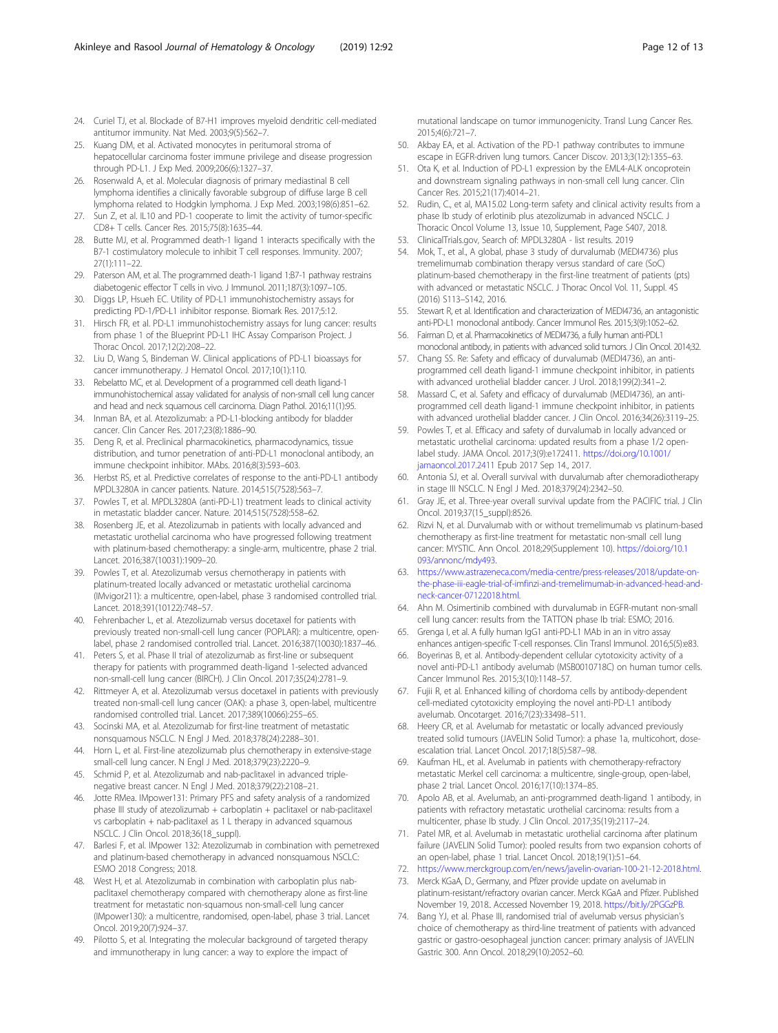- <span id="page-11-0"></span>24. Curiel TJ, et al. Blockade of B7-H1 improves myeloid dendritic cell-mediated antitumor immunity. Nat Med. 2003;9(5):562–7.
- 25. Kuang DM, et al. Activated monocytes in peritumoral stroma of hepatocellular carcinoma foster immune privilege and disease progression through PD-L1. J Exp Med. 2009;206(6):1327–37.
- 26. Rosenwald A, et al. Molecular diagnosis of primary mediastinal B cell lymphoma identifies a clinically favorable subgroup of diffuse large B cell lymphoma related to Hodgkin lymphoma. J Exp Med. 2003;198(6):851–62.
- 27. Sun Z, et al. IL10 and PD-1 cooperate to limit the activity of tumor-specific CD8+ T cells. Cancer Res. 2015;75(8):1635–44.
- 28. Butte MJ, et al. Programmed death-1 ligand 1 interacts specifically with the B7-1 costimulatory molecule to inhibit T cell responses. Immunity. 2007; 27(1):111–22.
- 29. Paterson AM, et al. The programmed death-1 ligand 1:B7-1 pathway restrains diabetogenic effector T cells in vivo. J Immunol. 2011;187(3):1097–105.
- 30. Diggs LP, Hsueh EC. Utility of PD-L1 immunohistochemistry assays for predicting PD-1/PD-L1 inhibitor response. Biomark Res. 2017;5:12.
- 31. Hirsch FR, et al. PD-L1 immunohistochemistry assays for lung cancer: results from phase 1 of the Blueprint PD-L1 IHC Assay Comparison Project. J Thorac Oncol. 2017;12(2):208–22.
- 32. Liu D, Wang S, Bindeman W. Clinical applications of PD-L1 bioassays for cancer immunotherapy. J Hematol Oncol. 2017;10(1):110.
- 33. Rebelatto MC, et al. Development of a programmed cell death ligand-1 immunohistochemical assay validated for analysis of non-small cell lung cancer and head and neck squamous cell carcinoma. Diagn Pathol. 2016;11(1):95.
- 34. Inman BA, et al. Atezolizumab: a PD-L1-blocking antibody for bladder cancer. Clin Cancer Res. 2017;23(8):1886–90.
- 35. Deng R, et al. Preclinical pharmacokinetics, pharmacodynamics, tissue distribution, and tumor penetration of anti-PD-L1 monoclonal antibody, an immune checkpoint inhibitor. MAbs. 2016;8(3):593–603.
- 36. Herbst RS, et al. Predictive correlates of response to the anti-PD-L1 antibody MPDL3280A in cancer patients. Nature. 2014;515(7528):563–7.
- 37. Powles T, et al. MPDL3280A (anti-PD-L1) treatment leads to clinical activity in metastatic bladder cancer. Nature. 2014;515(7528):558–62.
- 38. Rosenberg JE, et al. Atezolizumab in patients with locally advanced and metastatic urothelial carcinoma who have progressed following treatment with platinum-based chemotherapy: a single-arm, multicentre, phase 2 trial. Lancet. 2016;387(10031):1909–20.
- 39. Powles T, et al. Atezolizumab versus chemotherapy in patients with platinum-treated locally advanced or metastatic urothelial carcinoma (IMvigor211): a multicentre, open-label, phase 3 randomised controlled trial. Lancet. 2018;391(10122):748–57.
- 40. Fehrenbacher L, et al. Atezolizumab versus docetaxel for patients with previously treated non-small-cell lung cancer (POPLAR): a multicentre, openlabel, phase 2 randomised controlled trial. Lancet. 2016;387(10030):1837–46.
- 41. Peters S, et al. Phase II trial of atezolizumab as first-line or subsequent therapy for patients with programmed death-ligand 1-selected advanced non-small-cell lung cancer (BIRCH). J Clin Oncol. 2017;35(24):2781–9.
- 42. Rittmeyer A, et al. Atezolizumab versus docetaxel in patients with previously treated non-small-cell lung cancer (OAK): a phase 3, open-label, multicentre randomised controlled trial. Lancet. 2017;389(10066):255–65.
- 43. Socinski MA, et al. Atezolizumab for first-line treatment of metastatic nonsquamous NSCLC. N Engl J Med. 2018;378(24):2288–301.
- 44. Horn L, et al. First-line atezolizumab plus chemotherapy in extensive-stage small-cell lung cancer. N Engl J Med. 2018;379(23):2220–9.
- 45. Schmid P, et al. Atezolizumab and nab-paclitaxel in advanced triplenegative breast cancer. N Engl J Med. 2018;379(22):2108–21.
- 46. Jotte RMea. IMpower131: Primary PFS and safety analysis of a randomized phase III study of atezolizumab + carboplatin + paclitaxel or nab-paclitaxel vs carboplatin + nab-paclitaxel as 1 L therapy in advanced squamous NSCLC. J Clin Oncol. 2018;36(18\_suppl).
- 47. Barlesi F, et al. IMpower 132: Atezolizumab in combination with pemetrexed and platinum-based chemotherapy in advanced nonsquamous NSCLC: ESMO 2018 Congress; 2018.
- 48. West H, et al. Atezolizumab in combination with carboplatin plus nabpaclitaxel chemotherapy compared with chemotherapy alone as first-line treatment for metastatic non-squamous non-small-cell lung cancer (IMpower130): a multicentre, randomised, open-label, phase 3 trial. Lancet Oncol. 2019;20(7):924–37.
- 49. Pilotto S, et al. Integrating the molecular background of targeted therapy and immunotherapy in lung cancer: a way to explore the impact of

mutational landscape on tumor immunogenicity. Transl Lung Cancer Res. 2015;4(6):721–7.

- 50. Akbay EA, et al. Activation of the PD-1 pathway contributes to immune escape in EGFR-driven lung tumors. Cancer Discov. 2013;3(12):1355–63.
- 51. Ota K, et al. Induction of PD-L1 expression by the EML4-ALK oncoprotein and downstream signaling pathways in non-small cell lung cancer. Clin Cancer Res. 2015;21(17):4014–21.
- 52. Rudin, C., et al, MA15.02 Long-term safety and clinical activity results from a phase Ib study of erlotinib plus atezolizumab in advanced NSCLC. J Thoracic Oncol Volume 13, Issue 10, Supplement, Page S407, 2018.
- 53. ClinicalTrials.gov, Search of: MPDL3280A list results. 2019
- 54. Mok, T., et al., A global, phase 3 study of durvalumab (MEDI4736) plus tremelimumab combination therapy versus standard of care (SoC) platinum-based chemotherapy in the first-line treatment of patients (pts) with advanced or metastatic NSCLC. J Thorac Oncol Vol. 11, Suppl. 4S (2016) S113–S142, 2016.
- 55. Stewart R, et al. Identification and characterization of MEDI4736, an antagonistic anti-PD-L1 monoclonal antibody. Cancer Immunol Res. 2015;3(9):1052–62.
- 56. Fairman D, et al. Pharmacokinetics of MEDI4736, a fully human anti-PDL1 monoclonal antibody, in patients with advanced solid tumors. J Clin Oncol. 2014;32.
- 57. Chang SS. Re: Safety and efficacy of durvalumab (MEDI4736), an antiprogrammed cell death ligand-1 immune checkpoint inhibitor, in patients with advanced urothelial bladder cancer. J Urol. 2018;199(2):341–2.
- 58. Massard C, et al. Safety and efficacy of durvalumab (MEDI4736), an antiprogrammed cell death ligand-1 immune checkpoint inhibitor, in patients with advanced urothelial bladder cancer. J Clin Oncol. 2016;34(26):3119–25.
- 59. Powles T, et al. Efficacy and safety of durvalumab in locally advanced or metastatic urothelial carcinoma: updated results from a phase 1/2 openlabel study. JAMA Oncol. 2017;3(9):e172411. [https://doi.org/10.1001/](https://doi.org/10.1001/jamaoncol.2017.2411) [jamaoncol.2017.2411](https://doi.org/10.1001/jamaoncol.2017.2411) Epub 2017 Sep 14., 2017.
- 60. Antonia SJ, et al. Overall survival with durvalumab after chemoradiotherapy in stage III NSCLC. N Engl J Med. 2018;379(24):2342–50.
- 61. Gray JE, et al. Three-year overall survival update from the PACIFIC trial. J Clin Oncol. 2019;37(15\_suppl):8526.
- 62. Rizvi N, et al. Durvalumab with or without tremelimumab vs platinum-based chemotherapy as first-line treatment for metastatic non-small cell lung cancer: MYSTIC. Ann Oncol. 2018;29(Supplement 10). [https://doi.org/10.1](https://doi.org/10.1093/annonc/mdy493) [093/annonc/mdy493](https://doi.org/10.1093/annonc/mdy493).
- 63. [https://www.astrazeneca.com/media-centre/press-releases/2018/update-on](https://www.astrazeneca.com/media-centre/press-releases/2018/update-on-the-phase-iii-eagle-trial-of-imfinzi-and-tremelimumab-in-advanced-head-and-neck-cancer-07122018.html)[the-phase-iii-eagle-trial-of-imfinzi-and-tremelimumab-in-advanced-head-and](https://www.astrazeneca.com/media-centre/press-releases/2018/update-on-the-phase-iii-eagle-trial-of-imfinzi-and-tremelimumab-in-advanced-head-and-neck-cancer-07122018.html)[neck-cancer-07122018.html.](https://www.astrazeneca.com/media-centre/press-releases/2018/update-on-the-phase-iii-eagle-trial-of-imfinzi-and-tremelimumab-in-advanced-head-and-neck-cancer-07122018.html)
- 64. Ahn M. Osimertinib combined with durvalumab in EGFR-mutant non-small cell lung cancer: results from the TATTON phase Ib trial: ESMO; 2016.
- 65. Grenga I, et al. A fully human IgG1 anti-PD-L1 MAb in an in vitro assay enhances antigen-specific T-cell responses. Clin Transl Immunol. 2016;5(5):e83.
- 66. Boyerinas B, et al. Antibody-dependent cellular cytotoxicity activity of a novel anti-PD-L1 antibody avelumab (MSB0010718C) on human tumor cells. Cancer Immunol Res. 2015;3(10):1148–57.
- 67. Fujii R, et al. Enhanced killing of chordoma cells by antibody-dependent cell-mediated cytotoxicity employing the novel anti-PD-L1 antibody avelumab. Oncotarget. 2016;7(23):33498–511.
- 68. Heery CR, et al. Avelumab for metastatic or locally advanced previously treated solid tumours (JAVELIN Solid Tumor): a phase 1a, multicohort, doseescalation trial. Lancet Oncol. 2017;18(5):587–98.
- 69. Kaufman HL, et al. Avelumab in patients with chemotherapy-refractory metastatic Merkel cell carcinoma: a multicentre, single-group, open-label, phase 2 trial. Lancet Oncol. 2016;17(10):1374–85.
- 70. Apolo AB, et al. Avelumab, an anti-programmed death-ligand 1 antibody, in patients with refractory metastatic urothelial carcinoma: results from a multicenter, phase Ib study. J Clin Oncol. 2017;35(19):2117–24.
- 71. Patel MR, et al. Avelumab in metastatic urothelial carcinoma after platinum failure (JAVELIN Solid Tumor): pooled results from two expansion cohorts of an open-label, phase 1 trial. Lancet Oncol. 2018;19(1):51–64.
- 72. [https://www.merckgroup.com/en/news/javelin-ovarian-100-21-12-2018.html.](https://www.merckgroup.com/en/news/javelin-ovarian-100-21-12-2018.html)
- 73. Merck KGaA, D., Germany, and Pfizer provide update on avelumab in platinum-resistant/refractory ovarian cancer. Merck KGaA and Pfizer. Published November 19, 2018.. Accessed November 19, 2018. [https://bit.ly/2PGGzPB.](https://bit.ly/2PGGzPB)
- 74. Bang YJ, et al. Phase III, randomised trial of avelumab versus physician's choice of chemotherapy as third-line treatment of patients with advanced gastric or gastro-oesophageal junction cancer: primary analysis of JAVELIN Gastric 300. Ann Oncol. 2018;29(10):2052–60.